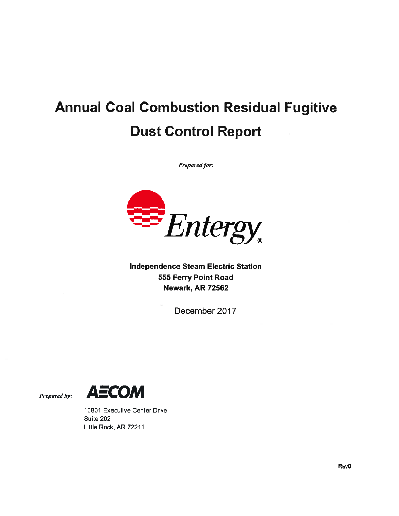# Annual Coal Combustion Residual Fugitive Dust Control Report

Prepared for:



Independence Steam Electric Station 555 Ferry Point Road Newark, AR 72562

December 2017





10801 Executive Center Drive Suite 202 Little Rock, AR 72211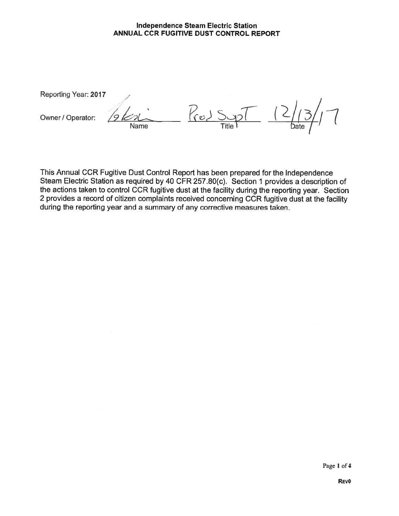Reporting Year: 2017

Reporting Year: 2017<br>Owner / Operator: 261 Name **Title** at  $\overline{ }$  ate

This Annual CCR Fugitive Dust Control Report has been prepared for the Independence Steam Electric Station as required by 40 CFR 257.80(c). Section <sup>1</sup> provides a description of the actions taken to control CCR fugitive dust at the facility during the reporting year. Section 2 provides a record of citizen complaints received concerning CCR fugitive dust at the facility during the reporting year and a summary of any corrective measures taken.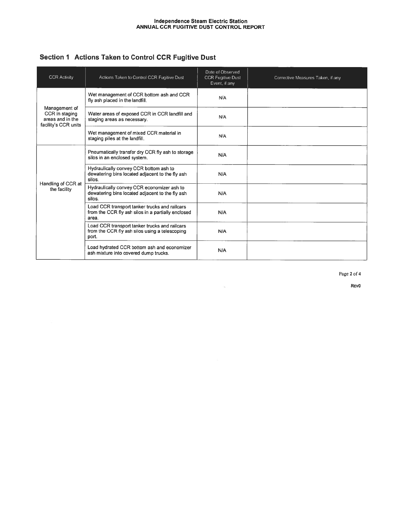| Section 1 Actions Taken to Control CCR Fugitive Dust |  |  |  |  |  |  |
|------------------------------------------------------|--|--|--|--|--|--|
|------------------------------------------------------|--|--|--|--|--|--|

| <b>CCR Activity</b>                                                         | Actions Taken to Control CCR Fugitive Dust                                                                   | Date of Observed<br><b>CCR Fugitive Dust</b><br>Event, if any | Corrective Measures Taken, if any |
|-----------------------------------------------------------------------------|--------------------------------------------------------------------------------------------------------------|---------------------------------------------------------------|-----------------------------------|
| Management of<br>CCR in staging<br>areas and in the<br>facility's CCR units | Wet management of CCR bottom ash and CCR<br>fly ash placed in the landfill.                                  | N/A                                                           |                                   |
|                                                                             | Water areas of exposed CCR in CCR landfill and<br>staging areas as necessary.                                | N/A                                                           |                                   |
|                                                                             | Wet management of mixed CCR material in<br>staging piles at the landfill.                                    | N/A                                                           |                                   |
| Handling of CCR at<br>the facility                                          | Pneumatically transfer dry CCR fly ash to storage<br>silos in an enclosed system.                            | N/A                                                           |                                   |
|                                                                             | Hydraulically convey CCR bottom ash to<br>dewatering bins located adiacent to the fly ash<br>silos.          | N/A                                                           |                                   |
|                                                                             | Hydraulically convey CCR economizer ash to<br>dewatering bins located adjacent to the fly ash<br>silos.      | N/A                                                           |                                   |
|                                                                             | Load CCR transport tanker trucks and railcars<br>from the CCR fly ash silos in a partially enclosed<br>area. | N/A                                                           |                                   |
|                                                                             | Load CCR transport tanker trucks and railcars<br>from the CCR fly ash silos using a telescoping<br>port.     | N/A                                                           |                                   |
|                                                                             | Load hydrated CCR bottom ash and economizer<br>ash mixture into covered dump trucks.                         | N/A                                                           |                                   |

 $\alpha_{\rm L}$ 

Page 2 of 4

REV<sub>0</sub>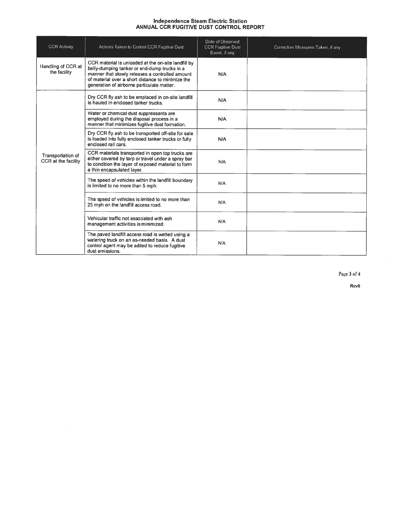| <b>CCR Activity</b>                      | Actions Taken to Control CCR Fugitive Dust                                                                                                                                                                                                                | Date of Observed<br><b>CCR Fugitive Dust</b><br>Event, if any | Corrective Measures Taken, if any |
|------------------------------------------|-----------------------------------------------------------------------------------------------------------------------------------------------------------------------------------------------------------------------------------------------------------|---------------------------------------------------------------|-----------------------------------|
| Handling of CCR at<br>the facility       | CCR material is unloaded at the on-site landfill by<br>belly-dumping tanker or end-dump trucks in a<br>manner that slowly releases a controlled amount<br>of material over a short distance to minimize the<br>generation of airborne particulate matter. | N/A                                                           |                                   |
|                                          | Dry CCR fly ash to be emplaced in on-site landfill<br>is hauled in enclosed tanker trucks.                                                                                                                                                                | N/A                                                           |                                   |
| Transportation of<br>CCR at the facility | Water or chemical dust suppressants are<br>employed during the disposal process in a<br>manner that minimizes fugitive dust formation.                                                                                                                    | N/A                                                           |                                   |
|                                          | Dry CCR fly ash to be transported off-site for sale<br>is loaded into fully enclosed tanker trucks or fully<br>enclosed rail cars.                                                                                                                        | N/A                                                           |                                   |
|                                          | CCR materials transported in open top trucks are<br>either covered by tarp or travel under a spray bar<br>to condition the layer of exposed material to form<br>a thin encapsulated layer.                                                                | N/A                                                           |                                   |
|                                          | The speed of vehicles within the landfill boundary<br>is limited to no more than 5 mph.                                                                                                                                                                   | N/A                                                           |                                   |
|                                          | The speed of vehicles is limited to no more than<br>25 mph on the landfill access road.                                                                                                                                                                   | N/A                                                           |                                   |
|                                          | Vehicular traffic not associated with ash<br>management activities is minimized.                                                                                                                                                                          | N/A                                                           |                                   |
|                                          | The paved landfill access road is wetted using a<br>watering truck on an as-needed basis. A dust<br>control agent may be added to reduce fugitive<br>dust emissions.                                                                                      | N/A                                                           |                                   |

Page 3 of 4

REVO